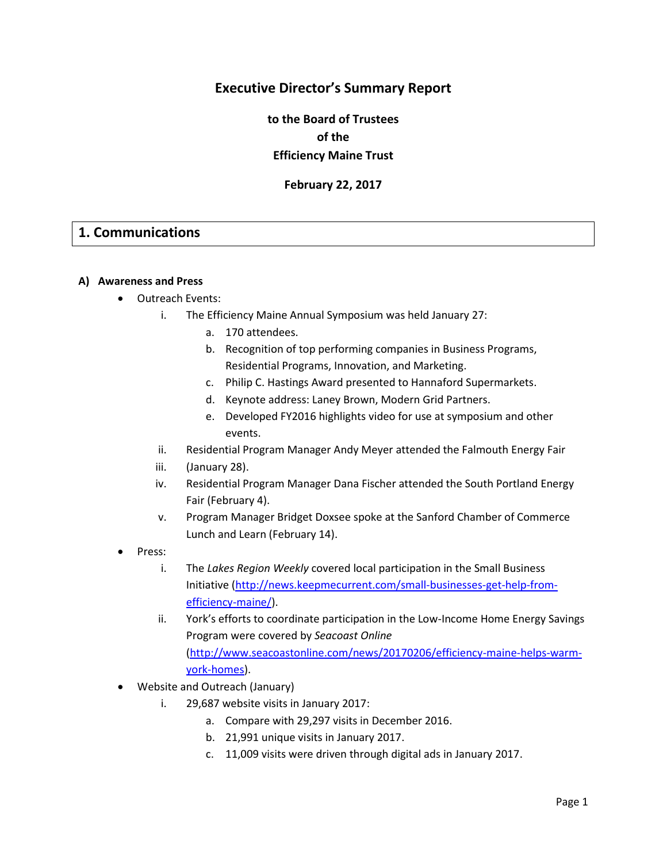## **Executive Director's Summary Report**

**to the Board of Trustees of the Efficiency Maine Trust**

**February 22, 2017**

## **1. Communications**

#### **A) Awareness and Press**

- Outreach Events:
	- i. The Efficiency Maine Annual Symposium was held January 27:
		- a. 170 attendees.
		- b. Recognition of top performing companies in Business Programs, Residential Programs, Innovation, and Marketing.
		- c. Philip C. Hastings Award presented to Hannaford Supermarkets.
		- d. Keynote address: Laney Brown, Modern Grid Partners.
		- e. Developed FY2016 highlights video for use at symposium and other events.
	- ii. Residential Program Manager Andy Meyer attended the Falmouth Energy Fair
	- iii. (January 28).
	- iv. Residential Program Manager Dana Fischer attended the South Portland Energy Fair (February 4).
	- v. Program Manager Bridget Doxsee spoke at the Sanford Chamber of Commerce Lunch and Learn (February 14).
- Press:
	- i. The *Lakes Region Weekly* covered local participation in the Small Business Initiative [\(http://news.keepmecurrent.com/small-businesses-get-help-from](http://news.keepmecurrent.com/small-businesses-get-help-from-efficiency-maine/)[efficiency-maine/\)](http://news.keepmecurrent.com/small-businesses-get-help-from-efficiency-maine/).
	- ii. York's efforts to coordinate participation in the Low-Income Home Energy Savings Program were covered by *Seacoast Online* [\(http://www.seacoastonline.com/news/20170206/efficiency-maine-helps-warm](http://www.seacoastonline.com/news/20170206/efficiency-maine-helps-warm-york-homes)[york-homes\)](http://www.seacoastonline.com/news/20170206/efficiency-maine-helps-warm-york-homes).
- Website and Outreach (January)
	- i. 29,687 website visits in January 2017:
		- a. Compare with 29,297 visits in December 2016.
		- b. 21,991 unique visits in January 2017.
		- c. 11,009 visits were driven through digital ads in January 2017.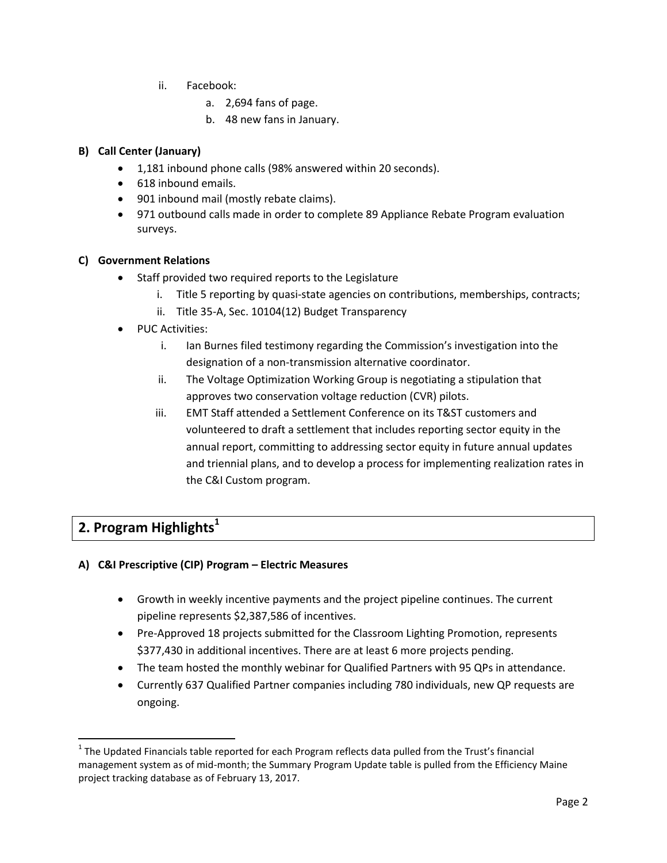- ii. Facebook:
	- a. 2,694 fans of page.
	- b. 48 new fans in January.

#### **B) Call Center (January)**

- 1,181 inbound phone calls (98% answered within 20 seconds).
- 618 inbound emails.
- 901 inbound mail (mostly rebate claims).
- 971 outbound calls made in order to complete 89 Appliance Rebate Program evaluation surveys.

#### **C) Government Relations**

- Staff provided two required reports to the Legislature
	- i. Title 5 reporting by quasi-state agencies on contributions, memberships, contracts;
	- ii. Title 35-A, Sec. 10104(12) Budget Transparency
- PUC Activities:
	- i. Ian Burnes filed testimony regarding the Commission's investigation into the designation of a non-transmission alternative coordinator.
	- ii. The Voltage Optimization Working Group is negotiating a stipulation that approves two conservation voltage reduction (CVR) pilots.
	- iii. EMT Staff attended a Settlement Conference on its T&ST customers and volunteered to draft a settlement that includes reporting sector equity in the annual report, committing to addressing sector equity in future annual updates and triennial plans, and to develop a process for implementing realization rates in the C&I Custom program.

# **2. Program Highlights<sup>1</sup>**

 $\overline{\phantom{a}}$ 

#### **A) C&I Prescriptive (CIP) Program – Electric Measures**

- Growth in weekly incentive payments and the project pipeline continues. The current pipeline represents \$2,387,586 of incentives.
- Pre-Approved 18 projects submitted for the Classroom Lighting Promotion, represents \$377,430 in additional incentives. There are at least 6 more projects pending.
- The team hosted the monthly webinar for Qualified Partners with 95 QPs in attendance.
- Currently 637 Qualified Partner companies including 780 individuals, new QP requests are ongoing.

 $1$  The Updated Financials table reported for each Program reflects data pulled from the Trust's financial management system as of mid-month; the Summary Program Update table is pulled from the Efficiency Maine project tracking database as of February 13, 2017.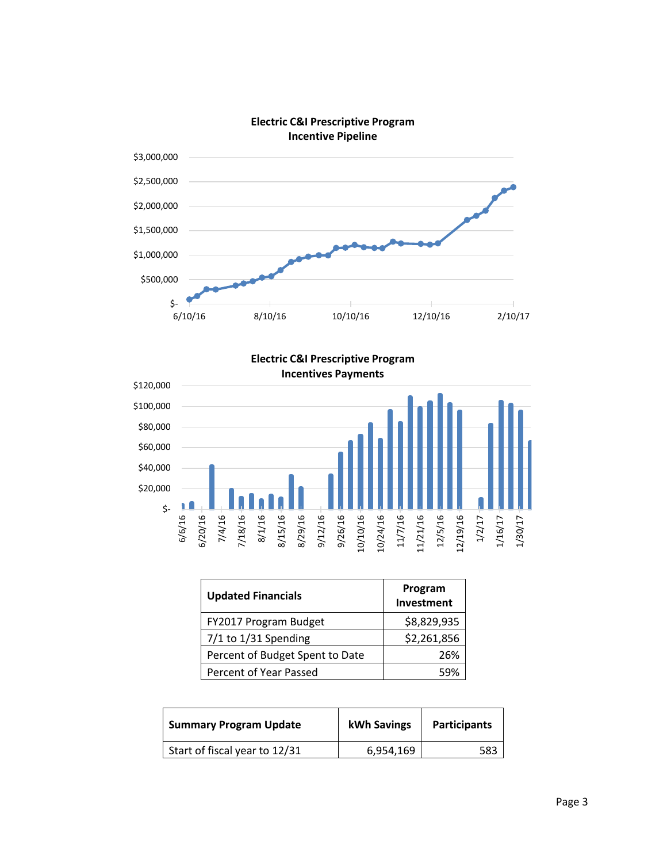

**Electric C&I Prescriptive Program**



| <b>Updated Financials</b>       | Program<br>Investment |
|---------------------------------|-----------------------|
| FY2017 Program Budget           | \$8,829,935           |
| $7/1$ to $1/31$ Spending        | \$2,261,856           |
| Percent of Budget Spent to Date | 26%                   |
| Percent of Year Passed          | 59%                   |

| <b>Summary Program Update</b> | kWh Savings | <b>Participants</b> |
|-------------------------------|-------------|---------------------|
| Start of fiscal year to 12/31 | 6,954,169   | 583                 |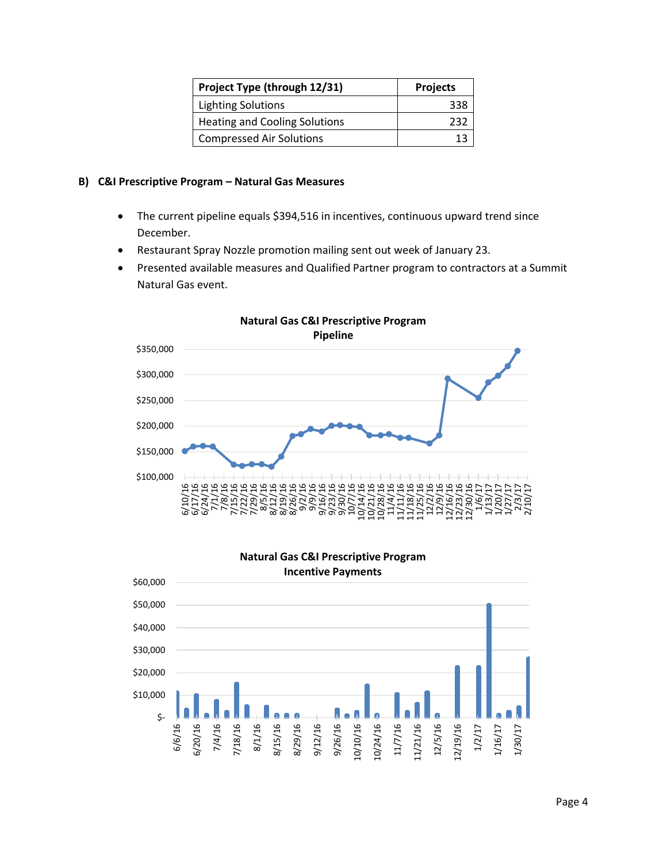| Project Type (through 12/31)         | <b>Projects</b> |
|--------------------------------------|-----------------|
| <b>Lighting Solutions</b>            | 338             |
| <b>Heating and Cooling Solutions</b> | フスコ             |
| <b>Compressed Air Solutions</b>      |                 |

#### **B) C&I Prescriptive Program – Natural Gas Measures**

- The current pipeline equals \$394,516 in incentives, continuous upward trend since December.
- Restaurant Spray Nozzle promotion mailing sent out week of January 23.
- Presented available measures and Qualified Partner program to contractors at a Summit Natural Gas event.



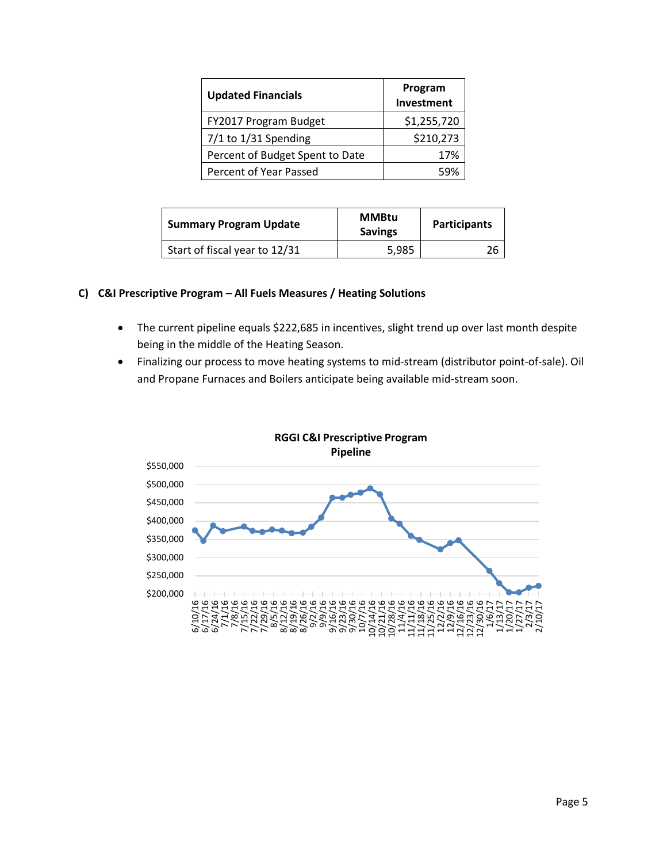| <b>Updated Financials</b>       | Program<br>Investment |
|---------------------------------|-----------------------|
| FY2017 Program Budget           | \$1,255,720           |
| $7/1$ to $1/31$ Spending        | \$210,273             |
| Percent of Budget Spent to Date | 17%                   |
| Percent of Year Passed          | 59%                   |

| <b>Summary Program Update</b> | <b>MMBtu</b><br><b>Savings</b> | <b>Participants</b> |
|-------------------------------|--------------------------------|---------------------|
| Start of fiscal year to 12/31 | 5.985                          | 26                  |

#### **C) C&I Prescriptive Program – All Fuels Measures / Heating Solutions**

- The current pipeline equals \$222,685 in incentives, slight trend up over last month despite being in the middle of the Heating Season.
- Finalizing our process to move heating systems to mid-stream (distributor point-of-sale). Oil and Propane Furnaces and Boilers anticipate being available mid-stream soon.



# **RGGI C&I Prescriptive Program**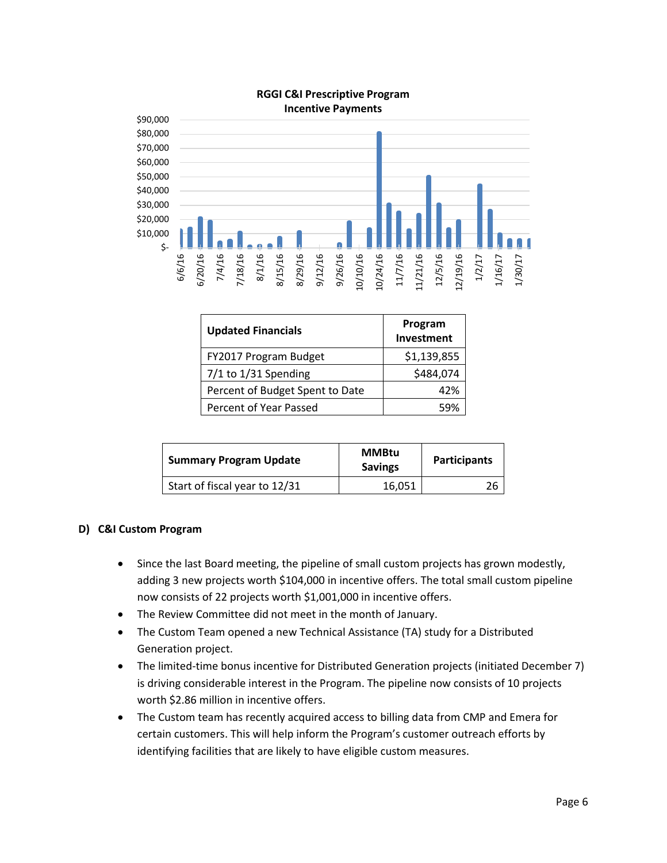

| <b>Updated Financials</b>       | Program<br>Investment |
|---------------------------------|-----------------------|
| FY2017 Program Budget           | \$1,139,855           |
| $7/1$ to $1/31$ Spending        | \$484,074             |
| Percent of Budget Spent to Date | 42%                   |
| Percent of Year Passed          | 59%                   |

| <b>Summary Program Update</b> | <b>MMBtu</b><br><b>Savings</b> | <b>Participants</b> |
|-------------------------------|--------------------------------|---------------------|
| Start of fiscal year to 12/31 | 16,051                         | 26                  |

#### **D) C&I Custom Program**

- Since the last Board meeting, the pipeline of small custom projects has grown modestly, adding 3 new projects worth \$104,000 in incentive offers. The total small custom pipeline now consists of 22 projects worth \$1,001,000 in incentive offers.
- The Review Committee did not meet in the month of January.
- The Custom Team opened a new Technical Assistance (TA) study for a Distributed Generation project.
- The limited-time bonus incentive for Distributed Generation projects (initiated December 7) is driving considerable interest in the Program. The pipeline now consists of 10 projects worth \$2.86 million in incentive offers.
- The Custom team has recently acquired access to billing data from CMP and Emera for certain customers. This will help inform the Program's customer outreach efforts by identifying facilities that are likely to have eligible custom measures.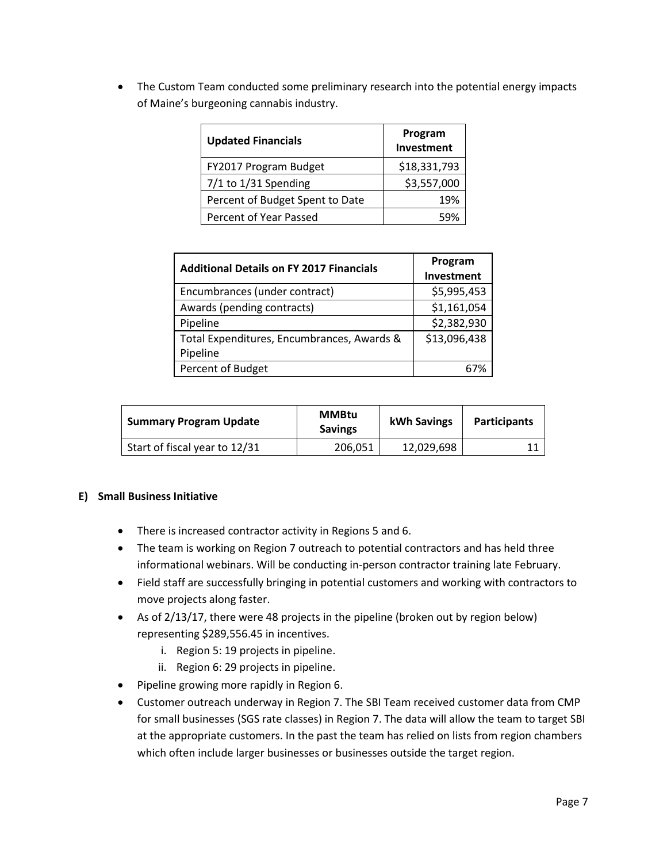The Custom Team conducted some preliminary research into the potential energy impacts of Maine's burgeoning cannabis industry.

| <b>Updated Financials</b>       | Program<br>Investment |
|---------------------------------|-----------------------|
| FY2017 Program Budget           | \$18,331,793          |
| $7/1$ to $1/31$ Spending        | \$3,557,000           |
| Percent of Budget Spent to Date | 19%                   |
| Percent of Year Passed          | 59%                   |

| <b>Additional Details on FY 2017 Financials</b> | Program<br>Investment |
|-------------------------------------------------|-----------------------|
| Encumbrances (under contract)                   | \$5,995,453           |
| Awards (pending contracts)                      | \$1,161,054           |
| Pipeline                                        | \$2,382,930           |
| Total Expenditures, Encumbrances, Awards &      | \$13,096,438          |
| Pipeline                                        |                       |
| Percent of Budget                               |                       |

| <b>Summary Program Update</b> | <b>MMBtu</b><br><b>Savings</b> | kWh Savings | <b>Participants</b> |
|-------------------------------|--------------------------------|-------------|---------------------|
| Start of fiscal year to 12/31 | 206,051                        | 12,029,698  |                     |

#### **E) Small Business Initiative**

- There is increased contractor activity in Regions 5 and 6.
- The team is working on Region 7 outreach to potential contractors and has held three informational webinars. Will be conducting in-person contractor training late February.
- Field staff are successfully bringing in potential customers and working with contractors to move projects along faster.
- As of 2/13/17, there were 48 projects in the pipeline (broken out by region below) representing \$289,556.45 in incentives.
	- i. Region 5: 19 projects in pipeline.
	- ii. Region 6: 29 projects in pipeline.
- Pipeline growing more rapidly in Region 6.
- Customer outreach underway in Region 7. The SBI Team received customer data from CMP for small businesses (SGS rate classes) in Region 7. The data will allow the team to target SBI at the appropriate customers. In the past the team has relied on lists from region chambers which often include larger businesses or businesses outside the target region.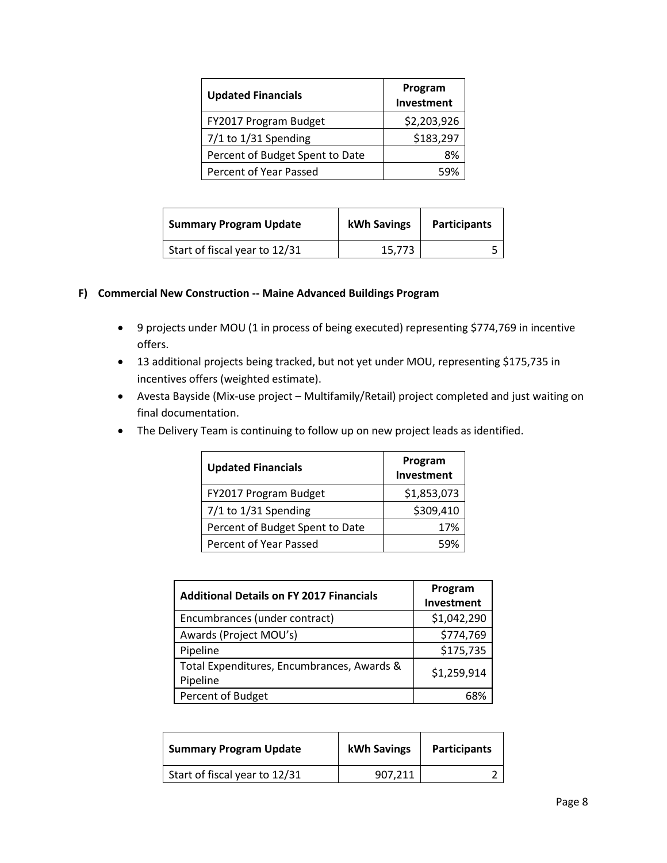| <b>Updated Financials</b>       | Program<br>Investment |
|---------------------------------|-----------------------|
| FY2017 Program Budget           | \$2,203,926           |
| $7/1$ to $1/31$ Spending        | \$183,297             |
| Percent of Budget Spent to Date | ጸ%                    |
| Percent of Year Passed          | 59%                   |

| <b>Summary Program Update</b> | kWh Savings | <b>Participants</b> |
|-------------------------------|-------------|---------------------|
| Start of fiscal year to 12/31 | 15.773      |                     |

#### **F) Commercial New Construction -- Maine Advanced Buildings Program**

- 9 projects under MOU (1 in process of being executed) representing \$774,769 in incentive offers.
- 13 additional projects being tracked, but not yet under MOU, representing \$175,735 in incentives offers (weighted estimate).
- Avesta Bayside (Mix-use project Multifamily/Retail) project completed and just waiting on final documentation.
- The Delivery Team is continuing to follow up on new project leads as identified.

| <b>Updated Financials</b>       | Program<br>Investment |
|---------------------------------|-----------------------|
| FY2017 Program Budget           | \$1,853,073           |
| $7/1$ to $1/31$ Spending        | \$309,410             |
| Percent of Budget Spent to Date | 17%                   |
| Percent of Year Passed          | 59%                   |

| <b>Additional Details on FY 2017 Financials</b>        | Program     |
|--------------------------------------------------------|-------------|
|                                                        | Investment  |
| Encumbrances (under contract)                          | \$1,042,290 |
| Awards (Project MOU's)                                 | \$774,769   |
| Pipeline                                               | \$175,735   |
| Total Expenditures, Encumbrances, Awards &<br>Pipeline | \$1,259,914 |
| Percent of Budget                                      | 68%         |

| <b>Summary Program Update</b> | kWh Savings | <b>Participants</b> |
|-------------------------------|-------------|---------------------|
| Start of fiscal year to 12/31 | 907.211     |                     |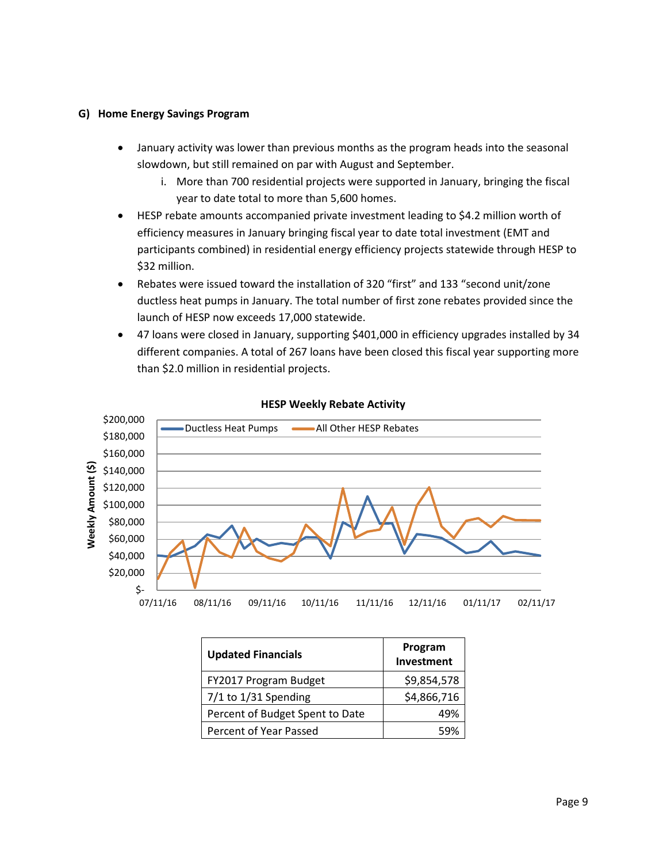#### **G) Home Energy Savings Program**

- January activity was lower than previous months as the program heads into the seasonal slowdown, but still remained on par with August and September.
	- i. More than 700 residential projects were supported in January, bringing the fiscal year to date total to more than 5,600 homes.
- HESP rebate amounts accompanied private investment leading to \$4.2 million worth of efficiency measures in January bringing fiscal year to date total investment (EMT and participants combined) in residential energy efficiency projects statewide through HESP to \$32 million.
- Rebates were issued toward the installation of 320 "first" and 133 "second unit/zone ductless heat pumps in January. The total number of first zone rebates provided since the launch of HESP now exceeds 17,000 statewide.
- 47 loans were closed in January, supporting \$401,000 in efficiency upgrades installed by 34 different companies. A total of 267 loans have been closed this fiscal year supporting more than \$2.0 million in residential projects.



#### **HESP Weekly Rebate Activity**

| <b>Updated Financials</b>       | Program<br>Investment |
|---------------------------------|-----------------------|
| FY2017 Program Budget           | \$9,854,578           |
| 7/1 to 1/31 Spending            | \$4,866,716           |
| Percent of Budget Spent to Date | 49%                   |
| Percent of Year Passed          | 59%                   |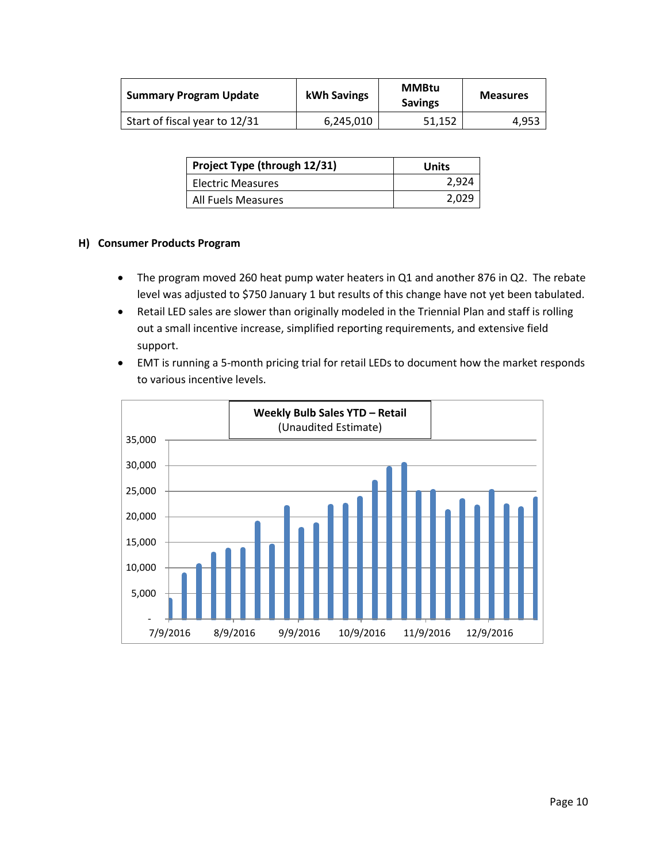| <b>Summary Program Update</b> | kWh Savings | <b>MMBtu</b><br><b>Savings</b> | <b>Measures</b> |
|-------------------------------|-------------|--------------------------------|-----------------|
| Start of fiscal year to 12/31 | 6,245,010   | 51,152                         | 4,953           |

| Project Type (through 12/31) | Units |
|------------------------------|-------|
| Electric Measures            | 2,924 |
| All Fuels Measures           | 2,029 |

#### **H) Consumer Products Program**

- The program moved 260 heat pump water heaters in Q1 and another 876 in Q2. The rebate level was adjusted to \$750 January 1 but results of this change have not yet been tabulated.
- Retail LED sales are slower than originally modeled in the Triennial Plan and staff is rolling out a small incentive increase, simplified reporting requirements, and extensive field support.
- EMT is running a 5-month pricing trial for retail LEDs to document how the market responds to various incentive levels.

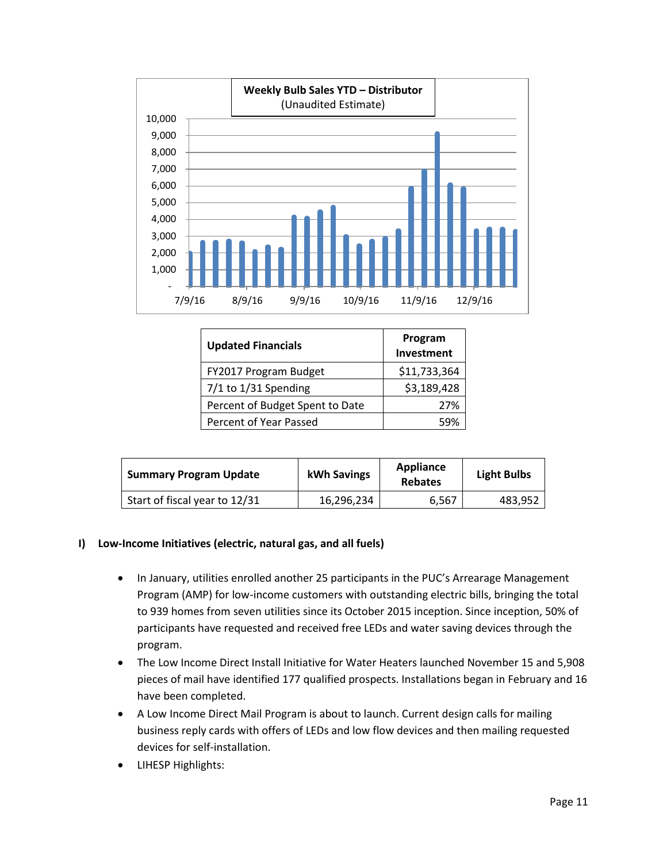

| <b>Updated Financials</b>       | Program<br>Investment |
|---------------------------------|-----------------------|
| FY2017 Program Budget           | \$11,733,364          |
| 7/1 to 1/31 Spending            | \$3,189,428           |
| Percent of Budget Spent to Date | 27%                   |
| Percent of Year Passed          | 59%                   |

| <b>Summary Program Update</b> | kWh Savings | <b>Appliance</b><br><b>Rebates</b> | <b>Light Bulbs</b> |
|-------------------------------|-------------|------------------------------------|--------------------|
| Start of fiscal year to 12/31 | 16,296,234  | 6.567                              | 483,952            |

#### **I) Low-Income Initiatives (electric, natural gas, and all fuels)**

- In January, utilities enrolled another 25 participants in the PUC's Arrearage Management Program (AMP) for low-income customers with outstanding electric bills, bringing the total to 939 homes from seven utilities since its October 2015 inception. Since inception, 50% of participants have requested and received free LEDs and water saving devices through the program.
- The Low Income Direct Install Initiative for Water Heaters launched November 15 and 5,908 pieces of mail have identified 177 qualified prospects. Installations began in February and 16 have been completed.
- A Low Income Direct Mail Program is about to launch. Current design calls for mailing business reply cards with offers of LEDs and low flow devices and then mailing requested devices for self-installation.
- LIHESP Highlights: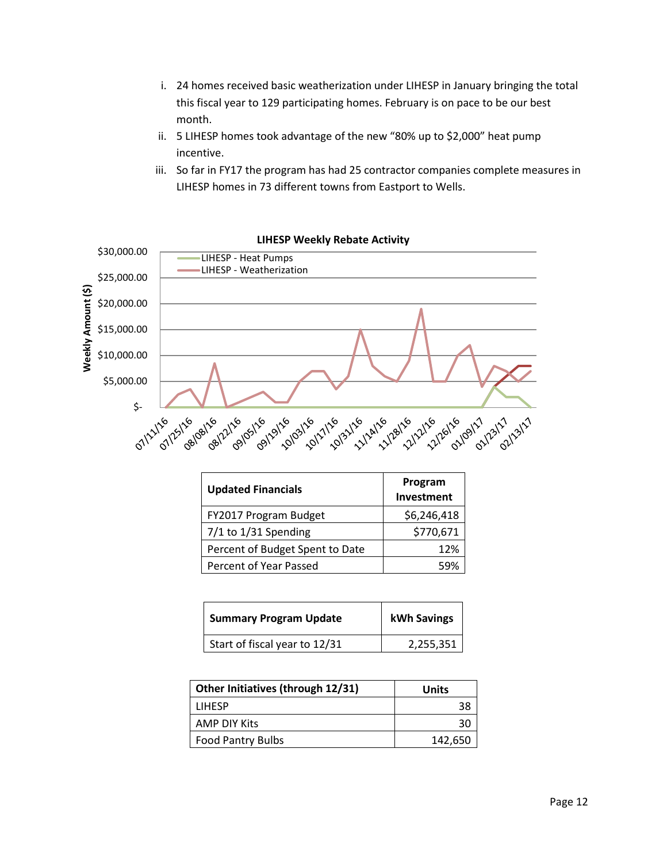- i. 24 homes received basic weatherization under LIHESP in January bringing the total this fiscal year to 129 participating homes. February is on pace to be our best month.
- ii. 5 LIHESP homes took advantage of the new "80% up to \$2,000" heat pump incentive.
- iii. So far in FY17 the program has had 25 contractor companies complete measures in LIHESP homes in 73 different towns from Eastport to Wells.



| <b>Updated Financials</b>       | Program<br>Investment |
|---------------------------------|-----------------------|
| FY2017 Program Budget           | \$6,246,418           |
| $7/1$ to $1/31$ Spending        | \$770,671             |
| Percent of Budget Spent to Date | 12%                   |
| Percent of Year Passed          | 59%                   |

| <b>Summary Program Update</b> | kWh Savings |
|-------------------------------|-------------|
| Start of fiscal year to 12/31 | 2,255,351   |

| Other Initiatives (through 12/31) | <b>Units</b> |
|-----------------------------------|--------------|
| <b>LIHESP</b>                     |              |
| AMP DIY Kits                      | 30           |
| <b>Food Pantry Bulbs</b>          | 142,650      |